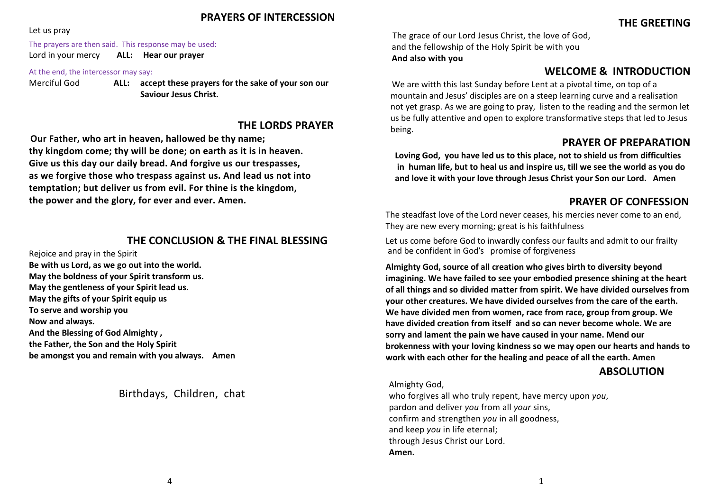### **PRAYERS OF INTERCESSION**

#### Let us pray

#### The prayers are then said. This response may be used:

Lord in your mercy **ALL: Hear our prayer**

#### At the end, the intercessor may say:

Merciful God **ALL: accept these prayers for the sake of your son our Saviour Jesus Christ.**

### **THE LORDS PRAYER**

**Our Father, who art in heaven, hallowed be thy name; thy kingdom come; thy will be done; on earth as it is in heaven. Give us this day our daily bread. And forgive us our trespasses, as we forgive those who trespass against us. And lead us not into temptation; but deliver us from evil. For thine is the kingdom, the power and the glory, for ever and ever. Amen.**

### **THE CONCLUSION & THE FINAL BLESSING**

Rejoice and pray in the Spirit **Be with us Lord, as we go out into the world. May the boldness of your Spirit transform us. May the gentleness of your Spirit lead us. May the gifts of your Spirit equip us To serve and worship you Now and always. And the Blessing of God Almighty , the Father, the Son and the Holy Spirit be amongst you and remain with you always. Amen**

Birthdays, Children, chat

The grace of our Lord Jesus Christ, the love of God, and the fellowship of the Holy Spirit be with you **And also with you**

# **WELCOME & INTRODUCTION**

We are witth this last Sunday before Lent at a pivotal time, on top of a mountain and Jesus' disciples are on a steep learning curve and a realisation not yet grasp. As we are going to pray, listen to the reading and the sermon let us be fully attentive and open to explore transformative steps that led to Jesus being.

## **PRAYER OF PREPARATION**

**Loving God, you have led us to this place, not to shield us from difficulties in human life, but to heal us and inspire us, till we see the world as you do and love it with your love through Jesus Christ your Son our Lord. Amen** 

# **PRAYER OF CONFESSION**

The steadfast love of the Lord never ceases, his mercies never come to an end, They are new every morning; great is his faithfulness

Let us come before God to inwardly confess our faults and admit to our frailty and be confident in God's promise of forgiveness

**Almighty God, source of all creation who gives birth to diversity beyond imagining. We have failed to see your embodied presence shining at the heart of all things and so divided matter from spirit. We have divided ourselves from your other creatures. We have divided ourselves from the care of the earth. We have divided men from women, race from race, group from group. We have divided creation from itself and so can never become whole. We are sorry and lament the pain we have caused in your name. Mend our brokenness with your loving kindness so we may open our hearts and hands to work with each other for the healing and peace of all the earth. Amen** 

### **ABSOLUTION**

#### Almighty God,

who forgives all who truly repent, have mercy upon *you*, pardon and deliver *you* from all *your* sins, confirm and strengthen *you* in all goodness, and keep *you* in life eternal; through Jesus Christ our Lord. **Amen.**